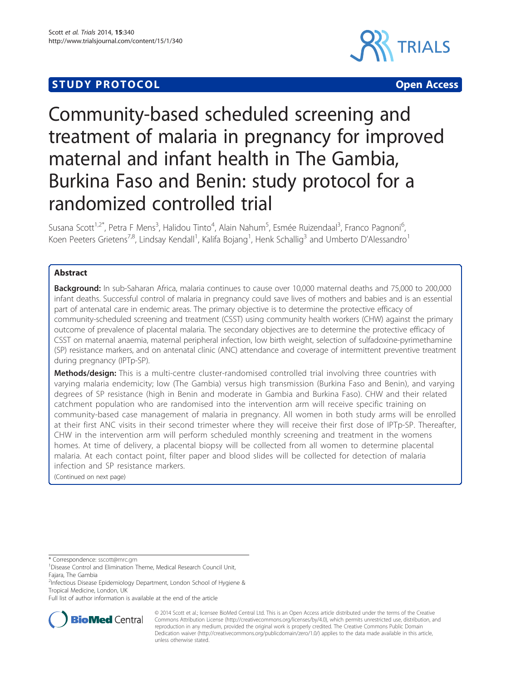## **STUDY PROTOCOL CONSUMING THE CONSUMING OPEN ACCESS**



# Community-based scheduled screening and treatment of malaria in pregnancy for improved maternal and infant health in The Gambia, Burkina Faso and Benin: study protocol for a randomized controlled trial

Susana Scott<sup>1,2\*</sup>, Petra F Mens<sup>3</sup>, Halidou Tinto<sup>4</sup>, Alain Nahum<sup>5</sup>, Esmée Ruizendaal<sup>3</sup>, Franco Pagnoni<sup>6</sup> , Koen Peeters Grietens<sup>7,8</sup>, Lindsay Kendall<sup>1</sup>, Kalifa Bojang<sup>1</sup>, Henk Schallig<sup>3</sup> and Umberto D'Alessandro<sup>1</sup>

## Abstract

Background: In sub-Saharan Africa, malaria continues to cause over 10,000 maternal deaths and 75,000 to 200,000 infant deaths. Successful control of malaria in pregnancy could save lives of mothers and babies and is an essential part of antenatal care in endemic areas. The primary objective is to determine the protective efficacy of community-scheduled screening and treatment (CSST) using community health workers (CHW) against the primary outcome of prevalence of placental malaria. The secondary objectives are to determine the protective efficacy of CSST on maternal anaemia, maternal peripheral infection, low birth weight, selection of sulfadoxine-pyrimethamine (SP) resistance markers, and on antenatal clinic (ANC) attendance and coverage of intermittent preventive treatment during pregnancy (IPTp-SP).

Methods/design: This is a multi-centre cluster-randomised controlled trial involving three countries with varying malaria endemicity; low (The Gambia) versus high transmission (Burkina Faso and Benin), and varying degrees of SP resistance (high in Benin and moderate in Gambia and Burkina Faso). CHW and their related catchment population who are randomised into the intervention arm will receive specific training on community-based case management of malaria in pregnancy. All women in both study arms will be enrolled at their first ANC visits in their second trimester where they will receive their first dose of IPTp-SP. Thereafter, CHW in the intervention arm will perform scheduled monthly screening and treatment in the womens homes. At time of delivery, a placental biopsy will be collected from all women to determine placental malaria. At each contact point, filter paper and blood slides will be collected for detection of malaria infection and SP resistance markers.

(Continued on next page)

\* Correspondence: [sscott@mrc.gm](mailto:sscott@mrc.gm) <sup>1</sup>

Full list of author information is available at the end of the article



© 2014 Scott et al.; licensee BioMed Central Ltd. This is an Open Access article distributed under the terms of the Creative Commons Attribution License [\(http://creativecommons.org/licenses/by/4.0\)](http://creativecommons.org/licenses/by/4.0), which permits unrestricted use, distribution, and reproduction in any medium, provided the original work is properly credited. The Creative Commons Public Domain Dedication waiver [\(http://creativecommons.org/publicdomain/zero/1.0/](http://creativecommons.org/publicdomain/zero/1.0/)) applies to the data made available in this article, unless otherwise stated.

<sup>&</sup>lt;sup>1</sup> Disease Control and Elimination Theme, Medical Research Council Unit, Fajara, The Gambia

<sup>&</sup>lt;sup>2</sup>Infectious Disease Epidemiology Department, London School of Hygiene & Tropical Medicine, London, UK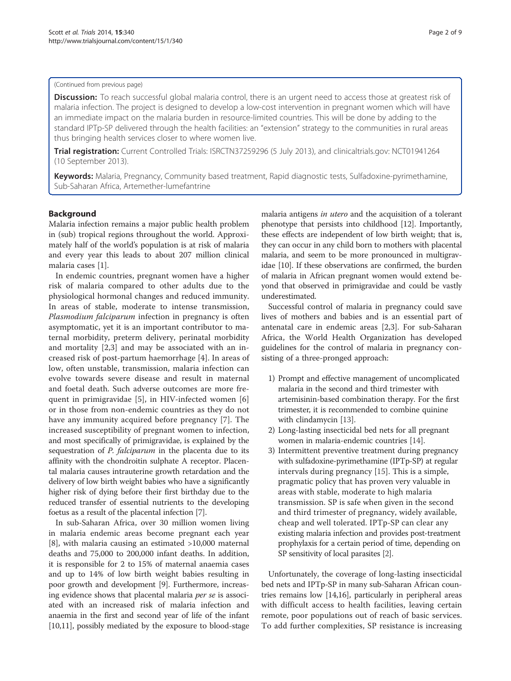#### (Continued from previous page)

Discussion: To reach successful global malaria control, there is an urgent need to access those at greatest risk of malaria infection. The project is designed to develop a low-cost intervention in pregnant women which will have an immediate impact on the malaria burden in resource-limited countries. This will be done by adding to the standard IPTp-SP delivered through the health facilities: an "extension" strategy to the communities in rural areas thus bringing health services closer to where women live.

Trial registration: Current Controlled Trials: [ISRCTN37259296](http://www.controlled-trials.com/ISRCTN37259296) (5 July 2013), and clinicaltrials.gov: [NCT01941264](http://www.clinicaltrials.gov/NCT01941264) (10 September 2013).

Keywords: Malaria, Pregnancy, Community based treatment, Rapid diagnostic tests, Sulfadoxine-pyrimethamine, Sub-Saharan Africa, Artemether-lumefantrine

#### Background

Malaria infection remains a major public health problem in (sub) tropical regions throughout the world. Approximately half of the world's population is at risk of malaria and every year this leads to about 207 million clinical malaria cases [[1\]](#page-7-0).

In endemic countries, pregnant women have a higher risk of malaria compared to other adults due to the physiological hormonal changes and reduced immunity. In areas of stable, moderate to intense transmission, Plasmodium falciparum infection in pregnancy is often asymptomatic, yet it is an important contributor to maternal morbidity, preterm delivery, perinatal morbidity and mortality [[2,3\]](#page-7-0) and may be associated with an increased risk of post-partum haemorrhage [[4\]](#page-7-0). In areas of low, often unstable, transmission, malaria infection can evolve towards severe disease and result in maternal and foetal death. Such adverse outcomes are more frequent in primigravidae [\[5](#page-8-0)], in HIV-infected women [\[6](#page-8-0)] or in those from non-endemic countries as they do not have any immunity acquired before pregnancy [\[7](#page-8-0)]. The increased susceptibility of pregnant women to infection, and most specifically of primigravidae, is explained by the sequestration of *P. falciparum* in the placenta due to its affinity with the chondroitin sulphate A receptor. Placental malaria causes intrauterine growth retardation and the delivery of low birth weight babies who have a significantly higher risk of dying before their first birthday due to the reduced transfer of essential nutrients to the developing foetus as a result of the placental infection [\[7\]](#page-8-0).

In sub-Saharan Africa, over 30 million women living in malaria endemic areas become pregnant each year [[8\]](#page-8-0), with malaria causing an estimated >10,000 maternal deaths and 75,000 to 200,000 infant deaths. In addition, it is responsible for 2 to 15% of maternal anaemia cases and up to 14% of low birth weight babies resulting in poor growth and development [\[9](#page-8-0)]. Furthermore, increasing evidence shows that placental malaria per se is associated with an increased risk of malaria infection and anaemia in the first and second year of life of the infant [[10,11](#page-8-0)], possibly mediated by the exposure to blood-stage malaria antigens in utero and the acquisition of a tolerant phenotype that persists into childhood [\[12\]](#page-8-0). Importantly, these effects are independent of low birth weight; that is, they can occur in any child born to mothers with placental malaria, and seem to be more pronounced in multigravidae [\[10\]](#page-8-0). If these observations are confirmed, the burden of malaria in African pregnant women would extend beyond that observed in primigravidae and could be vastly underestimated.

Successful control of malaria in pregnancy could save lives of mothers and babies and is an essential part of antenatal care in endemic areas [\[2,3](#page-7-0)]. For sub-Saharan Africa, the World Health Organization has developed guidelines for the control of malaria in pregnancy consisting of a three-pronged approach:

- 1) Prompt and effective management of uncomplicated malaria in the second and third trimester with artemisinin-based combination therapy. For the first trimester, it is recommended to combine quinine with clindamycin [[13](#page-8-0)].
- 2) Long-lasting insecticidal bed nets for all pregnant women in malaria-endemic countries [[14](#page-8-0)].
- 3) Intermittent preventive treatment during pregnancy with sulfadoxine-pyrimethamine (IPTp-SP) at regular intervals during pregnancy [[15](#page-8-0)]. This is a simple, pragmatic policy that has proven very valuable in areas with stable, moderate to high malaria transmission. SP is safe when given in the second and third trimester of pregnancy, widely available, cheap and well tolerated. IPTp-SP can clear any existing malaria infection and provides post-treatment prophylaxis for a certain period of time, depending on SP sensitivity of local parasites [[2\]](#page-7-0).

Unfortunately, the coverage of long-lasting insecticidal bed nets and IPTp-SP in many sub-Saharan African countries remains low [[14,16\]](#page-8-0), particularly in peripheral areas with difficult access to health facilities, leaving certain remote, poor populations out of reach of basic services. To add further complexities, SP resistance is increasing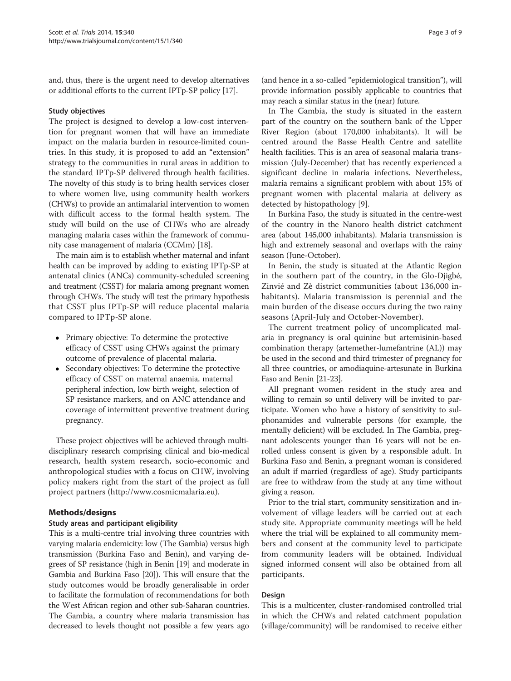and, thus, there is the urgent need to develop alternatives or additional efforts to the current IPTp-SP policy [\[17](#page-8-0)].

#### Study objectives

The project is designed to develop a low-cost intervention for pregnant women that will have an immediate impact on the malaria burden in resource-limited countries. In this study, it is proposed to add an "extension" strategy to the communities in rural areas in addition to the standard IPTp-SP delivered through health facilities. The novelty of this study is to bring health services closer to where women live, using community health workers (CHWs) to provide an antimalarial intervention to women with difficult access to the formal health system. The study will build on the use of CHWs who are already managing malaria cases within the framework of community case management of malaria (CCMm) [\[18\]](#page-8-0).

The main aim is to establish whether maternal and infant health can be improved by adding to existing IPTp-SP at antenatal clinics (ANCs) community-scheduled screening and treatment (CSST) for malaria among pregnant women through CHWs. The study will test the primary hypothesis that CSST plus IPTp-SP will reduce placental malaria compared to IPTp-SP alone.

- Primary objective: To determine the protective efficacy of CSST using CHWs against the primary outcome of prevalence of placental malaria.
- Secondary objectives: To determine the protective efficacy of CSST on maternal anaemia, maternal peripheral infection, low birth weight, selection of SP resistance markers, and on ANC attendance and coverage of intermittent preventive treatment during pregnancy.

These project objectives will be achieved through multidisciplinary research comprising clinical and bio-medical research, health system research, socio-economic and anthropological studies with a focus on CHW, involving policy makers right from the start of the project as full project partners ([http://www.cosmicmalaria.eu\)](http://www.cosmicmalaria.eu).

## Methods/designs

#### Study areas and participant eligibility

This is a multi-centre trial involving three countries with varying malaria endemicity: low (The Gambia) versus high transmission (Burkina Faso and Benin), and varying degrees of SP resistance (high in Benin [[19](#page-8-0)] and moderate in Gambia and Burkina Faso [[20\]](#page-8-0)). This will ensure that the study outcomes would be broadly generalisable in order to facilitate the formulation of recommendations for both the West African region and other sub-Saharan countries. The Gambia, a country where malaria transmission has decreased to levels thought not possible a few years ago

may reach a similar status in the (near) future. In The Gambia, the study is situated in the eastern part of the country on the southern bank of the Upper River Region (about 170,000 inhabitants). It will be centred around the Basse Health Centre and satellite health facilities. This is an area of seasonal malaria transmission (July-December) that has recently experienced a significant decline in malaria infections. Nevertheless, malaria remains a significant problem with about 15% of pregnant women with placental malaria at delivery as detected by histopathology [[9\]](#page-8-0).

In Burkina Faso, the study is situated in the centre-west of the country in the Nanoro health district catchment area (about 145,000 inhabitants). Malaria transmission is high and extremely seasonal and overlaps with the rainy season (June-October).

In Benin, the study is situated at the Atlantic Region in the southern part of the country, in the Glo-Djigbé, Zinvié and Zè district communities (about 136,000 inhabitants). Malaria transmission is perennial and the main burden of the disease occurs during the two rainy seasons (April-July and October-November).

The current treatment policy of uncomplicated malaria in pregnancy is oral quinine but artemisinin-based combination therapy (artemether-lumefantrine (AL)) may be used in the second and third trimester of pregnancy for all three countries, or amodiaquine-artesunate in Burkina Faso and Benin [[21](#page-8-0)-[23](#page-8-0)].

All pregnant women resident in the study area and willing to remain so until delivery will be invited to participate. Women who have a history of sensitivity to sulphonamides and vulnerable persons (for example, the mentally deficient) will be excluded. In The Gambia, pregnant adolescents younger than 16 years will not be enrolled unless consent is given by a responsible adult. In Burkina Faso and Benin, a pregnant woman is considered an adult if married (regardless of age). Study participants are free to withdraw from the study at any time without giving a reason.

Prior to the trial start, community sensitization and involvement of village leaders will be carried out at each study site. Appropriate community meetings will be held where the trial will be explained to all community members and consent at the community level to participate from community leaders will be obtained. Individual signed informed consent will also be obtained from all participants.

#### Design

This is a multicenter, cluster-randomised controlled trial in which the CHWs and related catchment population (village/community) will be randomised to receive either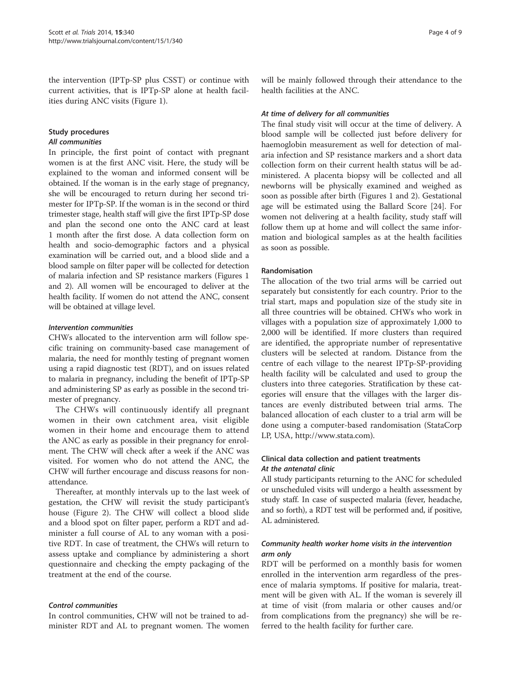the intervention (IPTp-SP plus CSST) or continue with current activities, that is IPTp-SP alone at health facilities during ANC visits (Figure [1](#page-4-0)).

#### Study procedures

#### All communities

In principle, the first point of contact with pregnant women is at the first ANC visit. Here, the study will be explained to the woman and informed consent will be obtained. If the woman is in the early stage of pregnancy, she will be encouraged to return during her second trimester for IPTp-SP. If the woman is in the second or third trimester stage, health staff will give the first IPTp-SP dose and plan the second one onto the ANC card at least 1 month after the first dose. A data collection form on health and socio-demographic factors and a physical examination will be carried out, and a blood slide and a blood sample on filter paper will be collected for detection of malaria infection and SP resistance markers (Figures [1](#page-4-0) and [2\)](#page-4-0). All women will be encouraged to deliver at the health facility. If women do not attend the ANC, consent will be obtained at village level.

#### Intervention communities

CHWs allocated to the intervention arm will follow specific training on community-based case management of malaria, the need for monthly testing of pregnant women using a rapid diagnostic test (RDT), and on issues related to malaria in pregnancy, including the benefit of IPTp-SP and administering SP as early as possible in the second trimester of pregnancy.

The CHWs will continuously identify all pregnant women in their own catchment area, visit eligible women in their home and encourage them to attend the ANC as early as possible in their pregnancy for enrolment. The CHW will check after a week if the ANC was visited. For women who do not attend the ANC, the CHW will further encourage and discuss reasons for nonattendance.

Thereafter, at monthly intervals up to the last week of gestation, the CHW will revisit the study participant's house (Figure [2](#page-4-0)). The CHW will collect a blood slide and a blood spot on filter paper, perform a RDT and administer a full course of AL to any woman with a positive RDT. In case of treatment, the CHWs will return to assess uptake and compliance by administering a short questionnaire and checking the empty packaging of the treatment at the end of the course.

#### Control communities

In control communities, CHW will not be trained to administer RDT and AL to pregnant women. The women

will be mainly followed through their attendance to the health facilities at the ANC.

#### At time of delivery for all communities

The final study visit will occur at the time of delivery. A blood sample will be collected just before delivery for haemoglobin measurement as well for detection of malaria infection and SP resistance markers and a short data collection form on their current health status will be administered. A placenta biopsy will be collected and all newborns will be physically examined and weighed as soon as possible after birth (Figures [1](#page-4-0) and [2](#page-4-0)). Gestational age will be estimated using the Ballard Score [\[24](#page-8-0)]. For women not delivering at a health facility, study staff will follow them up at home and will collect the same information and biological samples as at the health facilities as soon as possible.

#### Randomisation

The allocation of the two trial arms will be carried out separately but consistently for each country. Prior to the trial start, maps and population size of the study site in all three countries will be obtained. CHWs who work in villages with a population size of approximately 1,000 to 2,000 will be identified. If more clusters than required are identified, the appropriate number of representative clusters will be selected at random. Distance from the centre of each village to the nearest IPTp-SP-providing health facility will be calculated and used to group the clusters into three categories. Stratification by these categories will ensure that the villages with the larger distances are evenly distributed between trial arms. The balanced allocation of each cluster to a trial arm will be done using a computer-based randomisation (StataCorp LP, USA, [http://www.stata.com\)](http://www.stata.com).

## Clinical data collection and patient treatments At the antenatal clinic

All study participants returning to the ANC for scheduled or unscheduled visits will undergo a health assessment by study staff. In case of suspected malaria (fever, headache, and so forth), a RDT test will be performed and, if positive, AL administered.

## Community health worker home visits in the intervention arm only

RDT will be performed on a monthly basis for women enrolled in the intervention arm regardless of the presence of malaria symptoms. If positive for malaria, treatment will be given with AL. If the woman is severely ill at time of visit (from malaria or other causes and/or from complications from the pregnancy) she will be referred to the health facility for further care.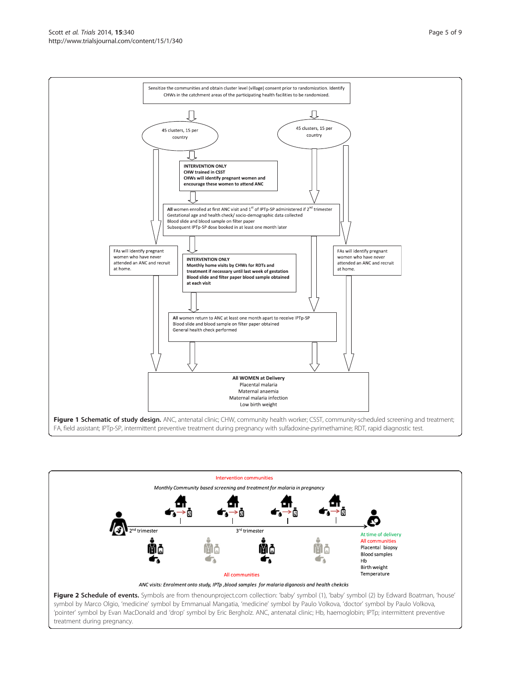#### <span id="page-4-0"></span>Scott et al. Trials 2014, **15:**340 Page 5 of 9 http://www.trialsjournal.com/content/15/1/340



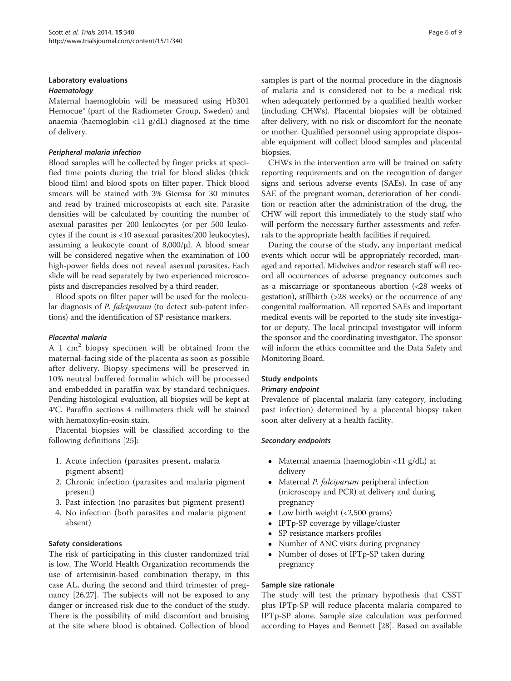## Laboratory evaluations

#### Haematology

Maternal haemoglobin will be measured using Hb301 Hemocue® (part of the Radiometer Group, Sweden) and anaemia (haemoglobin  $\langle 11 \text{ g}/dL \rangle$  diagnosed at the time of delivery.

## Peripheral malaria infection

Blood samples will be collected by finger pricks at specified time points during the trial for blood slides (thick blood film) and blood spots on filter paper. Thick blood smears will be stained with 3% Giemsa for 30 minutes and read by trained microscopists at each site. Parasite densities will be calculated by counting the number of asexual parasites per 200 leukocytes (or per 500 leukocytes if the count is <10 asexual parasites/200 leukocytes), assuming a leukocyte count of 8,000/μl. A blood smear will be considered negative when the examination of 100 high-power fields does not reveal asexual parasites. Each slide will be read separately by two experienced microscopists and discrepancies resolved by a third reader.

Blood spots on filter paper will be used for the molecular diagnosis of *P. falciparum* (to detect sub-patent infections) and the identification of SP resistance markers.

## Placental malaria

A 1 cm<sup>2</sup> biopsy specimen will be obtained from the maternal-facing side of the placenta as soon as possible after delivery. Biopsy specimens will be preserved in 10% neutral buffered formalin which will be processed and embedded in paraffin wax by standard techniques. Pending histological evaluation, all biopsies will be kept at 4°C. Paraffin sections 4 millimeters thick will be stained with hematoxylin-eosin stain.

Placental biopsies will be classified according to the following definitions [[25](#page-8-0)]:

- 1. Acute infection (parasites present, malaria pigment absent)
- 2. Chronic infection (parasites and malaria pigment present)
- 3. Past infection (no parasites but pigment present)
- 4. No infection (both parasites and malaria pigment absent)

## Safety considerations

The risk of participating in this cluster randomized trial is low. The World Health Organization recommends the use of artemisinin-based combination therapy, in this case AL, during the second and third trimester of pregnancy [\[26,27\]](#page-8-0). The subjects will not be exposed to any danger or increased risk due to the conduct of the study. There is the possibility of mild discomfort and bruising at the site where blood is obtained. Collection of blood samples is part of the normal procedure in the diagnosis of malaria and is considered not to be a medical risk when adequately performed by a qualified health worker (including CHWs). Placental biopsies will be obtained after delivery, with no risk or discomfort for the neonate or mother. Qualified personnel using appropriate disposable equipment will collect blood samples and placental biopsies.

CHWs in the intervention arm will be trained on safety reporting requirements and on the recognition of danger signs and serious adverse events (SAEs). In case of any SAE of the pregnant woman, deterioration of her condition or reaction after the administration of the drug, the CHW will report this immediately to the study staff who will perform the necessary further assessments and referrals to the appropriate health facilities if required.

During the course of the study, any important medical events which occur will be appropriately recorded, managed and reported. Midwives and/or research staff will record all occurrences of adverse pregnancy outcomes such as a miscarriage or spontaneous abortion (<28 weeks of gestation), stillbirth (>28 weeks) or the occurrence of any congenital malformation. All reported SAEs and important medical events will be reported to the study site investigator or deputy. The local principal investigator will inform the sponsor and the coordinating investigator. The sponsor will inform the ethics committee and the Data Safety and Monitoring Board.

## Study endpoints

## Primary endpoint

Prevalence of placental malaria (any category, including past infection) determined by a placental biopsy taken soon after delivery at a health facility.

## Secondary endpoints

- Maternal anaemia (haemoglobin <11 g/dL) at delivery
- Maternal P. falciparum peripheral infection (microscopy and PCR) at delivery and during pregnancy
- Low birth weight (<2,500 grams)
- IPTp-SP coverage by village/cluster
- SP resistance markers profiles
- Number of ANC visits during pregnancy
- Number of doses of IPTp-SP taken during pregnancy

## Sample size rationale

The study will test the primary hypothesis that CSST plus IPTp-SP will reduce placenta malaria compared to IPTp-SP alone. Sample size calculation was performed according to Hayes and Bennett [\[28](#page-8-0)]. Based on available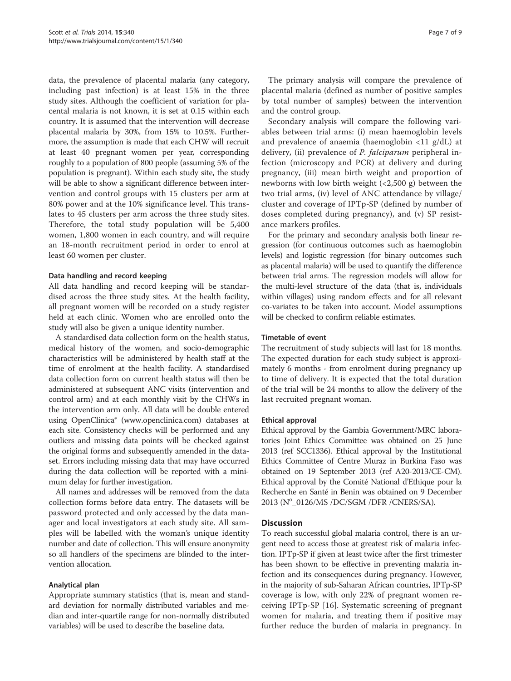data, the prevalence of placental malaria (any category, including past infection) is at least 15% in the three study sites. Although the coefficient of variation for placental malaria is not known, it is set at 0.15 within each country. It is assumed that the intervention will decrease placental malaria by 30%, from 15% to 10.5%. Furthermore, the assumption is made that each CHW will recruit at least 40 pregnant women per year, corresponding roughly to a population of 800 people (assuming 5% of the population is pregnant). Within each study site, the study will be able to show a significant difference between intervention and control groups with 15 clusters per arm at 80% power and at the 10% significance level. This translates to 45 clusters per arm across the three study sites. Therefore, the total study population will be 5,400 women, 1,800 women in each country, and will require an 18-month recruitment period in order to enrol at least 60 women per cluster.

## Data handling and record keeping

All data handling and record keeping will be standardised across the three study sites. At the health facility, all pregnant women will be recorded on a study register held at each clinic. Women who are enrolled onto the study will also be given a unique identity number.

A standardised data collection form on the health status, medical history of the women, and socio-demographic characteristics will be administered by health staff at the time of enrolment at the health facility. A standardised data collection form on current health status will then be administered at subsequent ANC visits (intervention and control arm) and at each monthly visit by the CHWs in the intervention arm only. All data will be double entered using OpenClinica® [\(www.openclinica.com\)](http://www.openclinica.com) databases at each site. Consistency checks will be performed and any outliers and missing data points will be checked against the original forms and subsequently amended in the dataset. Errors including missing data that may have occurred during the data collection will be reported with a minimum delay for further investigation.

All names and addresses will be removed from the data collection forms before data entry. The datasets will be password protected and only accessed by the data manager and local investigators at each study site. All samples will be labelled with the woman's unique identity number and date of collection. This will ensure anonymity so all handlers of the specimens are blinded to the intervention allocation.

## Analytical plan

Appropriate summary statistics (that is, mean and standard deviation for normally distributed variables and median and inter-quartile range for non-normally distributed variables) will be used to describe the baseline data.

The primary analysis will compare the prevalence of placental malaria (defined as number of positive samples by total number of samples) between the intervention and the control group.

Secondary analysis will compare the following variables between trial arms: (i) mean haemoglobin levels and prevalence of anaemia (haemoglobin <11 g/dL) at delivery, (ii) prevalence of *P. falciparum* peripheral infection (microscopy and PCR) at delivery and during pregnancy, (iii) mean birth weight and proportion of newborns with low birth weight (<2,500 g) between the two trial arms, (iv) level of ANC attendance by village/ cluster and coverage of IPTp-SP (defined by number of doses completed during pregnancy), and (v) SP resistance markers profiles.

For the primary and secondary analysis both linear regression (for continuous outcomes such as haemoglobin levels) and logistic regression (for binary outcomes such as placental malaria) will be used to quantify the difference between trial arms. The regression models will allow for the multi-level structure of the data (that is, individuals within villages) using random effects and for all relevant co-variates to be taken into account. Model assumptions will be checked to confirm reliable estimates.

#### Timetable of event

The recruitment of study subjects will last for 18 months. The expected duration for each study subject is approximately 6 months - from enrolment during pregnancy up to time of delivery. It is expected that the total duration of the trial will be 24 months to allow the delivery of the last recruited pregnant woman.

#### Ethical approval

Ethical approval by the Gambia Government/MRC laboratories Joint Ethics Committee was obtained on 25 June 2013 (ref SCC1336). Ethical approval by the Institutional Ethics Committee of Centre Muraz in Burkina Faso was obtained on 19 September 2013 (ref A20-2013/CE-CM). Ethical approval by the Comité National d'Ethique pour la Recherche en Santé in Benin was obtained on 9 December 2013 (Nº\_0126/MS /DC/SGM /DFR /CNERS/SA).

#### **Discussion**

To reach successful global malaria control, there is an urgent need to access those at greatest risk of malaria infection. IPTp-SP if given at least twice after the first trimester has been shown to be effective in preventing malaria infection and its consequences during pregnancy. However, in the majority of sub-Saharan African countries, IPTp-SP coverage is low, with only 22% of pregnant women receiving IPTp-SP [[16](#page-8-0)]. Systematic screening of pregnant women for malaria, and treating them if positive may further reduce the burden of malaria in pregnancy. In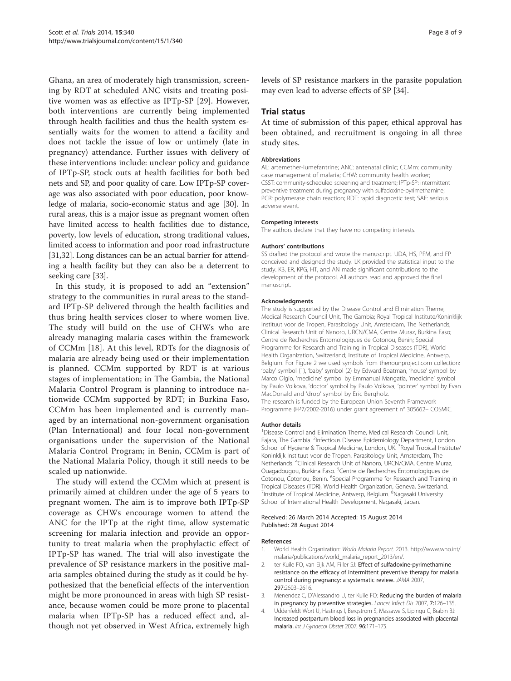<span id="page-7-0"></span>Ghana, an area of moderately high transmission, screening by RDT at scheduled ANC visits and treating positive women was as effective as IPTp-SP [[29\]](#page-8-0). However, both interventions are currently being implemented through health facilities and thus the health system essentially waits for the women to attend a facility and does not tackle the issue of low or untimely (late in pregnancy) attendance. Further issues with delivery of these interventions include: unclear policy and guidance of IPTp-SP, stock outs at health facilities for both bed nets and SP, and poor quality of care. Low IPTp-SP coverage was also associated with poor education, poor knowledge of malaria, socio-economic status and age [\[30\]](#page-8-0). In rural areas, this is a major issue as pregnant women often have limited access to health facilities due to distance, poverty, low levels of education, strong traditional values, limited access to information and poor road infrastructure [[31,32](#page-8-0)]. Long distances can be an actual barrier for attending a health facility but they can also be a deterrent to seeking care [\[33\]](#page-8-0).

In this study, it is proposed to add an "extension" strategy to the communities in rural areas to the standard IPTp-SP delivered through the health facilities and thus bring health services closer to where women live. The study will build on the use of CHWs who are already managing malaria cases within the framework of CCMm [[18](#page-8-0)]. At this level, RDTs for the diagnosis of malaria are already being used or their implementation is planned. CCMm supported by RDT is at various stages of implementation; in The Gambia, the National Malaria Control Program is planning to introduce nationwide CCMm supported by RDT; in Burkina Faso, CCMm has been implemented and is currently managed by an international non-government organisation (Plan International) and four local non-government organisations under the supervision of the National Malaria Control Program; in Benin, CCMm is part of the National Malaria Policy, though it still needs to be scaled up nationwide.

The study will extend the CCMm which at present is primarily aimed at children under the age of 5 years to pregnant women. The aim is to improve both IPTp-SP coverage as CHWs encourage women to attend the ANC for the IPTp at the right time, allow systematic screening for malaria infection and provide an opportunity to treat malaria when the prophylactic effect of IPTp-SP has waned. The trial will also investigate the prevalence of SP resistance markers in the positive malaria samples obtained during the study as it could be hypothesized that the beneficial effects of the intervention might be more pronounced in areas with high SP resistance, because women could be more prone to placental malaria when IPTp-SP has a reduced effect and, although not yet observed in West Africa, extremely high

levels of SP resistance markers in the parasite population may even lead to adverse effects of SP [[34](#page-8-0)].

#### Trial status

At time of submission of this paper, ethical approval has been obtained, and recruitment is ongoing in all three study sites.

#### Abbreviations

AL: artemether-lumefantrine; ANC: antenatal clinic; CCMm: community case management of malaria; CHW: community health worker; CSST: community-scheduled screening and treatment; IPTp-SP: intermittent preventive treatment during pregnancy with sulfadoxine-pyrimethamine; PCR: polymerase chain reaction; RDT: rapid diagnostic test; SAE: serious adverse event.

#### Competing interests

The authors declare that they have no competing interests.

#### Authors' contributions

SS drafted the protocol and wrote the manuscript. UDA, HS, PFM, and FP conceived and designed the study. LK provided the statistical input to the study. KB, ER, KPG, HT, and AN made significant contributions to the development of the protocol. All authors read and approved the final manuscript.

#### Acknowledgments

The study is supported by the Disease Control and Elimination Theme, Medical Research Council Unit, The Gambia; Royal Tropical Institute/Koninklijk Instituut voor de Tropen, Parasitology Unit, Amsterdam, The Netherlands; Clinical Research Unit of Nanoro, URCN/CMA, Centre Muraz, Burkina Faso; Centre de Recherches Entomologiques de Cotonou, Benin; Special Programme for Research and Training in Tropical Diseases (TDR), World Health Organization, Switzerland; Institute of Tropical Medicine, Antwerp, Belgium. For Figure [2](#page-4-0) we used symbols from thenounproject.com collection: 'baby' symbol (1), 'baby' symbol (2) by Edward Boatman, 'house' symbol by Marco Olgio, 'medicine' symbol by Emmanual Mangatia, 'medicine' symbol by Paulo Volkova, 'doctor' symbol by Paulo Volkova, 'pointer' symbol by Evan MacDonald and 'drop' symbol by Eric Bergholz. The research is funded by the European Union Seventh Framework

Programme (FP7/2002-2016) under grant agreement n° 305662– COSMIC.

#### Author details

<sup>1</sup> Disease Control and Elimination Theme, Medical Research Council Unit, Fajara, The Gambia. <sup>2</sup>Infectious Disease Epidemiology Department, London School of Hygiene & Tropical Medicine, London, UK. <sup>3</sup>Royal Tropical Institute/ Koninklijk Instituut voor de Tropen, Parasitology Unit, Amsterdam, The Netherlands. <sup>4</sup> Clinical Research Unit of Nanoro, URCN/CMA, Centre Muraz, Ouagadougou, Burkina Faso. <sup>5</sup>Centre de Recherches Entomologiques de Cotonou, Cotonou, Benin. <sup>6</sup>Special Programme for Research and Training in Tropical Diseases (TDR), World Health Organization, Geneva, Switzerland. <sup>7</sup>Institute of Tropical Medicine, Antwerp, Belgium. <sup>8</sup>Nagasaki University School of International Health Development, Nagasaki, Japan.

#### Received: 26 March 2014 Accepted: 15 August 2014 Published: 28 August 2014

#### References

- 1. World Health Organization: World Malaria Report. 2013. [http://www.who.int/](http://www.who.int/malaria/publications/world_malaria_report_2013/en/) [malaria/publications/world\\_malaria\\_report\\_2013/en/.](http://www.who.int/malaria/publications/world_malaria_report_2013/en/)
- ter Kuile FO, van Eijk AM, Filler SJ: Effect of sulfadoxine-pyrimethamine resistance on the efficacy of intermittent preventive therapy for malaria control during pregnancy: a systematic review. JAMA 2007, 297:2603–2616.
- 3. Menendez C, D'Alessandro U, ter Kuile FO: Reducing the burden of malaria in pregnancy by preventive strategies. Lancet Infect Dis 2007, 7:126–135.
- 4. Uddenfeldt Wort U, Hastings I, Bergstrom S, Massawe S, Lipingu C, Brabin BJ: Increased postpartum blood loss in pregnancies associated with placental malaria. Int J Gynaecol Obstet 2007, 96:171–175.